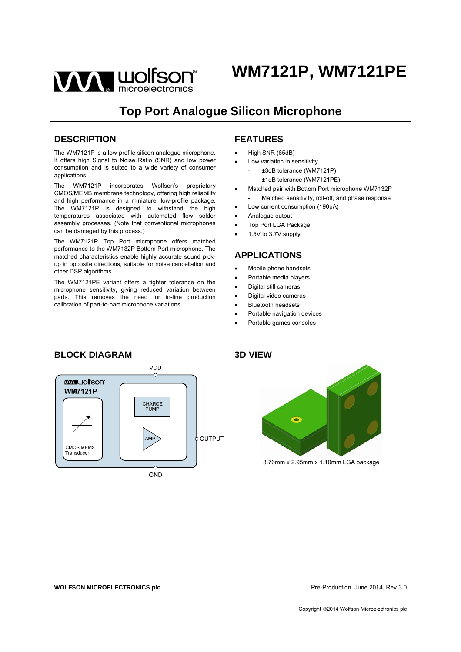

## **Top Port Analogue Silicon Microphone**

### **DESCRIPTION**

The WM7121P is a low-profile silicon analogue microphone. It offers high Signal to Noise Ratio (SNR) and low power consumption and is suited to a wide variety of consumer applications.

The WM7121P incorporates Wolfson's proprietary CMOS/MEMS membrane technology, offering high reliability and high performance in a miniature, low-profile package. The WM7121P is designed to withstand the high temperatures associated with automated flow solder assembly processes. (Note that conventional microphones can be damaged by this process.)

The WM7121P Top Port microphone offers matched performance to the WM7132P Bottom Port microphone. The matched characteristics enable highly accurate sound pickup in opposite directions, suitable for noise cancellation and other DSP algorithms.

The WM7121PE variant offers a tighter tolerance on the microphone sensitivity, giving reduced variation between parts. This removes the need for in-line production calibration of part-to-part microphone variations.

## **FEATURES**

- High SNR (65dB)
- Low variation in sensitivity
	- ±3dB tolerance (WM7121P)
	- ±1dB tolerance (WM7121PE)
- Matched pair with Bottom Port microphone WM7132P Matched sensitivity, roll-off, and phase response
- Low current consumption (190µA)
- Analogue output
- Top Port LGA Package
- 1.5V to 3.7V supply

## **APPLICATIONS**

- Mobile phone handsets
- Portable media players
- Digital still cameras
- Digital video cameras
- Bluetooth headsets
- Portable navigation devices
- Portable games consoles





3.76mm x 2.95mm x 1.10mm LGA package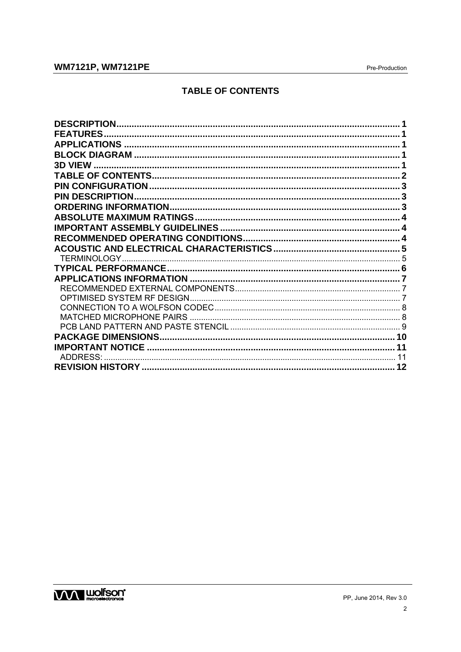## **WM7121P, WM7121PE**

## **TABLE OF CONTENTS**

| <b>DESCRIPTION</b>     |  |
|------------------------|--|
| <b>FEATURES.</b>       |  |
|                        |  |
|                        |  |
|                        |  |
|                        |  |
|                        |  |
| <b>PIN DESCRIPTION</b> |  |
|                        |  |
|                        |  |
|                        |  |
|                        |  |
|                        |  |
|                        |  |
|                        |  |
|                        |  |
|                        |  |
|                        |  |
|                        |  |
|                        |  |
|                        |  |
|                        |  |
| ADDRESS:               |  |
|                        |  |

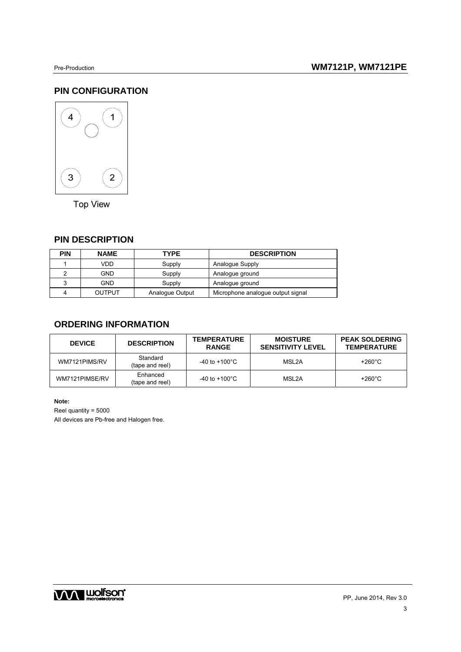## **PIN CONFIGURATION**



**Top View** 

### **PIN DESCRIPTION**

| <b>PIN</b> | <b>NAME</b>   | <b>TYPE</b>     | <b>DESCRIPTION</b>                |  |  |
|------------|---------------|-----------------|-----------------------------------|--|--|
|            | VDD           | Supply          | Analogue Supply                   |  |  |
|            | GND.          | Supply          | Analogue ground                   |  |  |
| 3          | <b>GND</b>    | Supply          | Analogue ground                   |  |  |
|            | <b>OUTPUT</b> | Analogue Output | Microphone analogue output signal |  |  |

## **ORDERING INFORMATION**

| <b>DEVICE</b>  | <b>DESCRIPTION</b>          | <b>TEMPERATURE</b><br><b>RANGE</b> | <b>MOISTURE</b><br><b>SENSITIVITY LEVEL</b> | <b>PEAK SOLDERING</b><br><b>TEMPERATURE</b> |
|----------------|-----------------------------|------------------------------------|---------------------------------------------|---------------------------------------------|
| WM7121PIMS/RV  | Standard<br>(tape and reel) | -40 to +100 $^{\circ}$ C           | MSL2A                                       | +260 $^{\circ}$ C                           |
| WM7121PIMSE/RV | Enhanced<br>(tape and reel) | -40 to +100 $^{\circ}$ C           | MSL2A                                       | +260 $^{\circ}$ C                           |

3

**Note:** 

Reel quantity = 5000

All devices are Pb-free and Halogen free.

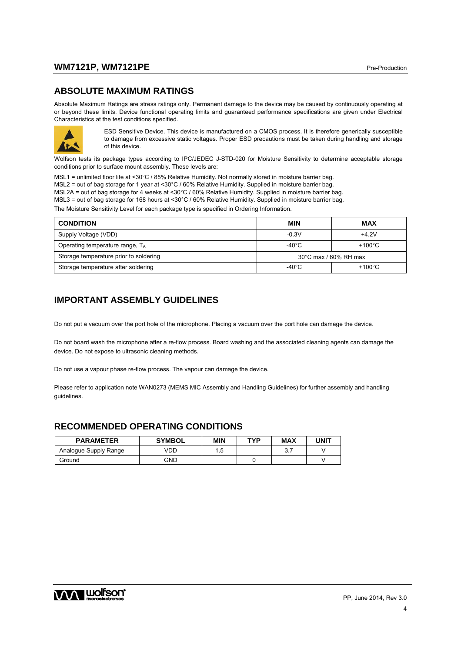### **WM7121P, WM7121PE** Production and the production of the Production of the Production of the Production of the Production of the Production of the Production of the Production of the Production of the Production of the Pro

#### **ABSOLUTE MAXIMUM RATINGS**

Absolute Maximum Ratings are stress ratings only. Permanent damage to the device may be caused by continuously operating at or beyond these limits. Device functional operating limits and guaranteed performance specifications are given under Electrical Characteristics at the test conditions specified.



ESD Sensitive Device. This device is manufactured on a CMOS process. It is therefore generically susceptible to damage from excessive static voltages. Proper ESD precautions must be taken during handling and storage of this device.

Wolfson tests its package types according to IPC/JEDEC J-STD-020 for Moisture Sensitivity to determine acceptable storage conditions prior to surface mount assembly. These levels are:

MSL1 = unlimited floor life at <30°C / 85% Relative Humidity. Not normally stored in moisture barrier bag. MSL2 = out of bag storage for 1 year at <30°C / 60% Relative Humidity. Supplied in moisture barrier bag. MSL2A = out of bag storage for 4 weeks at <30°C / 60% Relative Humidity. Supplied in moisture barrier bag. MSL3 = out of bag storage for 168 hours at <30°C / 60% Relative Humidity. Supplied in moisture barrier bag. The Moisture Sensitivity Level for each package type is specified in Ordering Information.

| <b>CONDITION</b>                       | <b>MIN</b>                      | <b>MAX</b>       |  |
|----------------------------------------|---------------------------------|------------------|--|
| Supply Voltage (VDD)                   | $-0.3V$                         | $+4.2V$          |  |
| Operating temperature range, TA        | -40°C                           | $+100^{\circ}$ C |  |
| Storage temperature prior to soldering | $30^{\circ}$ C max / 60% RH max |                  |  |
| Storage temperature after soldering    | -40°C                           | $+100^{\circ}$ C |  |

## **IMPORTANT ASSEMBLY GUIDELINES**

Do not put a vacuum over the port hole of the microphone. Placing a vacuum over the port hole can damage the device.

Do not board wash the microphone after a re-flow process. Board washing and the associated cleaning agents can damage the device. Do not expose to ultrasonic cleaning methods.

Do not use a vapour phase re-flow process. The vapour can damage the device.

Please refer to application note WAN0273 (MEMS MIC Assembly and Handling Guidelines) for further assembly and handling guidelines.

#### **RECOMMENDED OPERATING CONDITIONS**

| <b>PARAMETER</b>      | <b>SYMBOL</b> | <b>MIN</b> | TYP | <b>MAX</b>      | JNIT |
|-----------------------|---------------|------------|-----|-----------------|------|
| Analogue Supply Range | VDD           | д<br>ں.    |     | <u>ົ</u><br>◡.≀ |      |
| Ground                | GND           |            |     |                 |      |

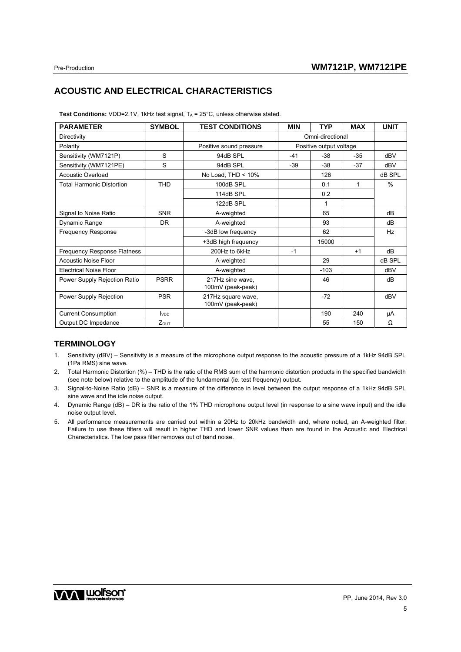## **ACOUSTIC AND ELECTRICAL CHARACTERISTICS**

| <b>Test Conditions:</b> VDD=2.1V, 1kHz test signal, $T_A$ = 25 $^{\circ}$ C, unless otherwise stated. |  |  |  |
|-------------------------------------------------------------------------------------------------------|--|--|--|
|                                                                                                       |  |  |  |

| <b>PARAMETER</b>                   | <b>SYMBOL</b>            | <b>TEST CONDITIONS</b>                  | <b>MIN</b>       | <b>TYP</b>              | <b>MAX</b> | <b>UNIT</b> |
|------------------------------------|--------------------------|-----------------------------------------|------------------|-------------------------|------------|-------------|
| Directivity                        |                          |                                         | Omni-directional |                         |            |             |
| Polarity                           |                          | Positive sound pressure                 |                  | Positive output voltage |            |             |
| Sensitivity (WM7121P)              | S                        | 94dB SPL                                | $-41$            | $-38$                   | $-35$      | dBV         |
| Sensitivity (WM7121PE)             | S                        | 94dB SPL                                | $-39$            | $-38$                   | $-37$      | dBV         |
| <b>Acoustic Overload</b>           |                          | No Load, THD < 10%                      |                  | 126                     |            | dB SPL      |
| <b>Total Harmonic Distortion</b>   | <b>THD</b>               | 100dB SPL                               |                  | 0.1                     | 1          | $\%$        |
|                                    |                          | 114dB SPL                               |                  | 0.2                     |            |             |
|                                    |                          | 122dB SPL                               |                  | 1                       |            |             |
| Signal to Noise Ratio              | <b>SNR</b>               | A-weighted                              |                  | 65                      |            | dB          |
| Dynamic Range                      | DR                       | A-weighted                              |                  | 93                      |            | dB          |
| <b>Frequency Response</b>          |                          | -3dB low frequency                      |                  | 62                      |            | Hz          |
|                                    |                          | +3dB high frequency                     |                  | 15000                   |            |             |
| <b>Frequency Response Flatness</b> |                          | 200Hz to 6kHz                           | $-1$             |                         | $+1$       | dB          |
| <b>Acoustic Noise Floor</b>        |                          | A-weighted                              |                  | 29                      |            | dB SPL      |
| <b>Electrical Noise Floor</b>      |                          | A-weighted                              |                  | $-103$                  |            | dBV         |
| Power Supply Rejection Ratio       | <b>PSRR</b>              | 217Hz sine wave,<br>100mV (peak-peak)   |                  | 46                      |            | dB          |
| Power Supply Rejection             | <b>PSR</b>               | 217Hz square wave,<br>100mV (peak-peak) |                  | $-72$                   |            | dBV         |
| <b>Current Consumption</b>         | <b>I</b> v <sub>DD</sub> |                                         |                  | 190                     | 240        | μA          |
| Output DC Impedance                | <b>Zout</b>              |                                         |                  | 55                      | 150        | Ω           |

#### **TERMINOLOGY**

- 1. Sensitivity (dBV) Sensitivity is a measure of the microphone output response to the acoustic pressure of a 1kHz 94dB SPL (1Pa RMS) sine wave.
- 2. Total Harmonic Distortion (%) THD is the ratio of the RMS sum of the harmonic distortion products in the specified bandwidth (see note below) relative to the amplitude of the fundamental (ie. test frequency) output.
- 3. Signal-to-Noise Ratio (dB) SNR is a measure of the difference in level between the output response of a 1kHz 94dB SPL sine wave and the idle noise output.
- 4. Dynamic Range (dB) DR is the ratio of the 1% THD microphone output level (in response to a sine wave input) and the idle noise output level.
- 5. All performance measurements are carried out within a 20Hz to 20kHz bandwidth and, where noted, an A-weighted filter. Failure to use these filters will result in higher THD and lower SNR values than are found in the Acoustic and Electrical Characteristics. The low pass filter removes out of band noise.

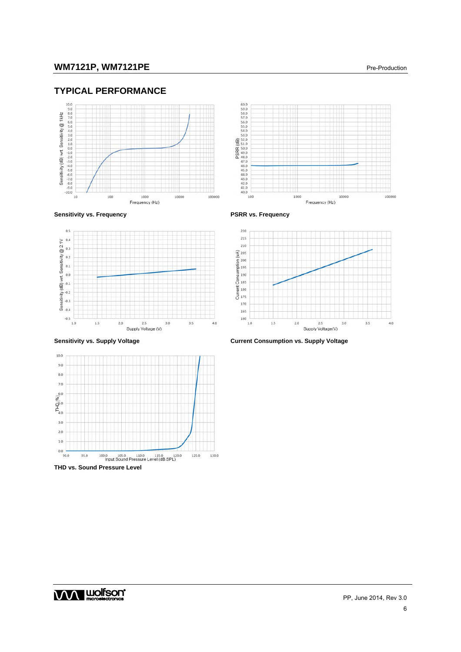## **TYPICAL PERFORMANCE**





Sensitivity vs. Frequency **PSRR** vs. Frequency







**Sensitivity vs. Supply Voltage Current Consumption vs. Supply Voltage**

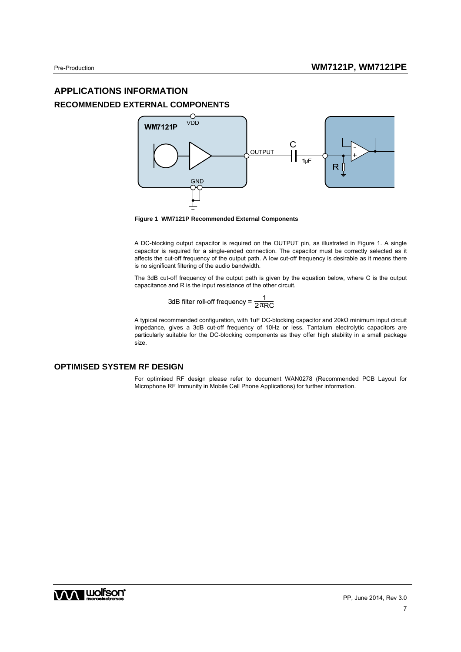## **APPLICATIONS INFORMATION RECOMMENDED EXTERNAL COMPONENTS**



**Figure 1 WM7121P Recommended External Components** 

A DC-blocking output capacitor is required on the OUTPUT pin, as illustrated in Figure 1. A single capacitor is required for a single-ended connection. The capacitor must be correctly selected as it affects the cut-off frequency of the output path. A low cut-off frequency is desirable as it means there is no significant filtering of the audio bandwidth.

The 3dB cut-off frequency of the output path is given by the equation below, where C is the output capacitance and R is the input resistance of the other circuit.

3dB filter roll-off frequency = 
$$
\frac{1}{2\pi RC}
$$

A typical recommended configuration, with 1uF DC-blocking capacitor and 20kΩ minimum input circuit impedance, gives a 3dB cut-off frequency of 10Hz or less. Tantalum electrolytic capacitors are particularly suitable for the DC-blocking components as they offer high stability in a small package size.

#### **OPTIMISED SYSTEM RF DESIGN**

For optimised RF design please refer to document WAN0278 (Recommended PCB Layout for Microphone RF Immunity in Mobile Cell Phone Applications) for further information.

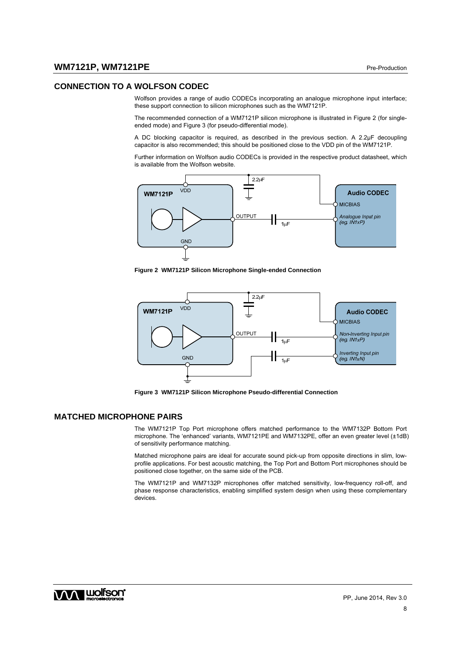#### **CONNECTION TO A WOLFSON CODEC**

Wolfson provides a range of audio CODECs incorporating an analogue microphone input interface; these support connection to silicon microphones such as the WM7121P.

The recommended connection of a WM7121P silicon microphone is illustrated in Figure 2 (for singleended mode) and Figure 3 (for pseudo-differential mode).

A DC blocking capacitor is required, as described in the previous section. A 2.2µF decoupling capacitor is also recommended; this should be positioned close to the VDD pin of the WM7121P.

Further information on Wolfson audio CODECs is provided in the respective product datasheet, which is available from the Wolfson website.



**Figure 2 WM7121P Silicon Microphone Single-ended Connection** 



**Figure 3 WM7121P Silicon Microphone Pseudo-differential Connection** 

#### **MATCHED MICROPHONE PAIRS**

The WM7121P Top Port microphone offers matched performance to the WM7132P Bottom Port microphone. The 'enhanced' variants, WM7121PE and WM7132PE, offer an even greater level (±1dB) of sensitivity performance matching.

Matched microphone pairs are ideal for accurate sound pick-up from opposite directions in slim, lowprofile applications. For best acoustic matching, the Top Port and Bottom Port microphones should be positioned close together, on the same side of the PCB.

The WM7121P and WM7132P microphones offer matched sensitivity, low-frequency roll-off, and phase response characteristics, enabling simplified system design when using these complementary devices.

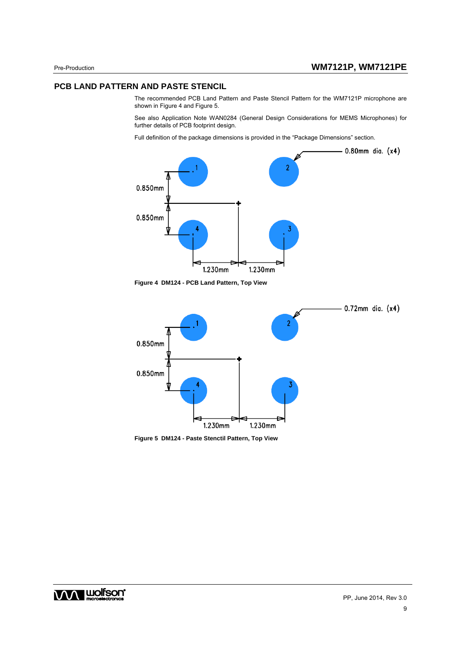#### **PCB LAND PATTERN AND PASTE STENCIL**

The recommended PCB Land Pattern and Paste Stencil Pattern for the WM7121P microphone are shown in Figure 4 and Figure 5.

See also Application Note WAN0284 (General Design Considerations for MEMS Microphones) for further details of PCB footprint design.

Full definition of the package dimensions is provided in the "Package Dimensions" section.



**Figure 4 DM124 - PCB Land Pattern, Top View** 





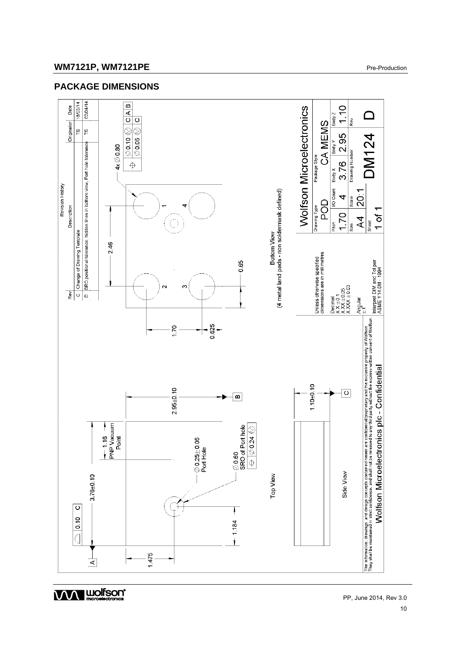## **WM7121P, WM7121PE** Pre-Production

## **PACKAGE DIMENSIONS**



**WA WOISON' WOISON' PP, June 2014, Rev 3.0**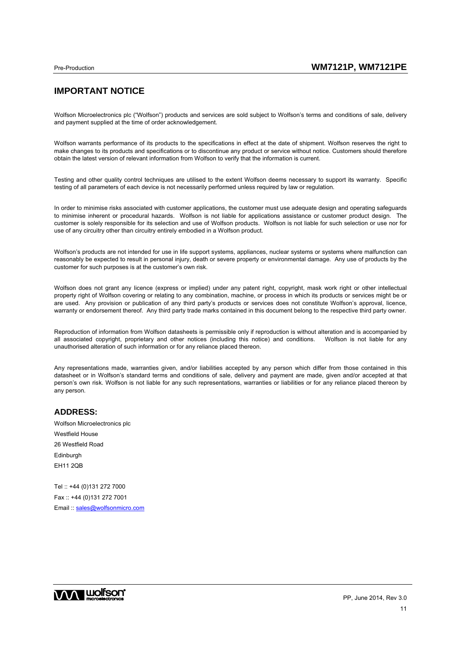## **IMPORTANT NOTICE**

Wolfson Microelectronics plc ("Wolfson") products and services are sold subject to Wolfson's terms and conditions of sale, delivery and payment supplied at the time of order acknowledgement.

Wolfson warrants performance of its products to the specifications in effect at the date of shipment. Wolfson reserves the right to make changes to its products and specifications or to discontinue any product or service without notice. Customers should therefore obtain the latest version of relevant information from Wolfson to verify that the information is current.

Testing and other quality control techniques are utilised to the extent Wolfson deems necessary to support its warranty. Specific testing of all parameters of each device is not necessarily performed unless required by law or regulation.

In order to minimise risks associated with customer applications, the customer must use adequate design and operating safeguards to minimise inherent or procedural hazards. Wolfson is not liable for applications assistance or customer product design. The customer is solely responsible for its selection and use of Wolfson products. Wolfson is not liable for such selection or use nor for use of any circuitry other than circuitry entirely embodied in a Wolfson product.

Wolfson's products are not intended for use in life support systems, appliances, nuclear systems or systems where malfunction can reasonably be expected to result in personal injury, death or severe property or environmental damage. Any use of products by the customer for such purposes is at the customer's own risk.

Wolfson does not grant any licence (express or implied) under any patent right, copyright, mask work right or other intellectual property right of Wolfson covering or relating to any combination, machine, or process in which its products or services might be or are used. Any provision or publication of any third party's products or services does not constitute Wolfson's approval, licence, warranty or endorsement thereof. Any third party trade marks contained in this document belong to the respective third party owner.

Reproduction of information from Wolfson datasheets is permissible only if reproduction is without alteration and is accompanied by all associated copyright, proprietary and other notices (including this notice) and conditions. Wolfson is not liable for any unauthorised alteration of such information or for any reliance placed thereon.

Any representations made, warranties given, and/or liabilities accepted by any person which differ from those contained in this datasheet or in Wolfson's standard terms and conditions of sale, delivery and payment are made, given and/or accepted at that person's own risk. Wolfson is not liable for any such representations, warranties or liabilities or for any reliance placed thereon by any person.

#### **ADDRESS:**

Wolfson Microelectronics plc Westfield House 26 Westfield Road **Edinburgh** EH11 2QB Tel :: +44 (0)131 272 7000

Fax :: +44 (0)131 272 7001 Email :: sales@wolfsonmicro.com

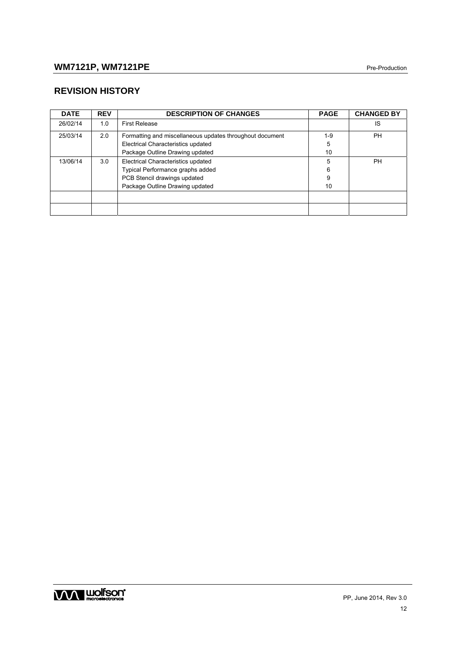## **REVISION HISTORY**

| <b>DATE</b> | <b>REV</b> | <b>DESCRIPTION OF CHANGES</b>                            | <b>PAGE</b> | <b>CHANGED BY</b> |
|-------------|------------|----------------------------------------------------------|-------------|-------------------|
| 26/02/14    | 1.0        | <b>First Release</b>                                     |             | IS                |
| 25/03/14    | 2.0        | Formatting and miscellaneous updates throughout document | $1-9$       | <b>PH</b>         |
|             |            | Electrical Characteristics updated                       | 5           |                   |
|             |            | Package Outline Drawing updated                          | 10          |                   |
| 13/06/14    | 3.0        | Electrical Characteristics updated                       | 5           | <b>PH</b>         |
|             |            | Typical Performance graphs added                         | 6           |                   |
|             |            | PCB Stencil drawings updated                             | 9           |                   |
|             |            | Package Outline Drawing updated                          | 10          |                   |
|             |            |                                                          |             |                   |
|             |            |                                                          |             |                   |